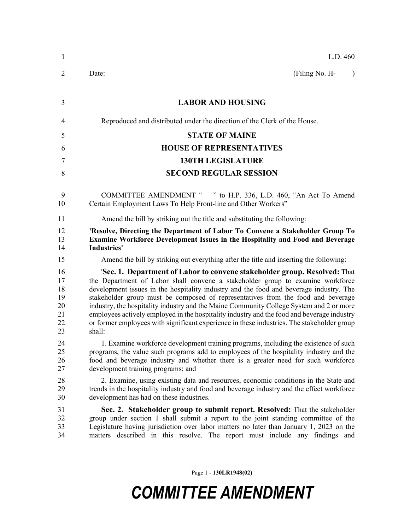| 1                                            | L.D. 460                                                                                                                                                                                                                                                                                                                                                                                                                                                                                                                                                                                                                                   |
|----------------------------------------------|--------------------------------------------------------------------------------------------------------------------------------------------------------------------------------------------------------------------------------------------------------------------------------------------------------------------------------------------------------------------------------------------------------------------------------------------------------------------------------------------------------------------------------------------------------------------------------------------------------------------------------------------|
| $\overline{2}$                               | (Filing No. H-<br>Date:<br>$\lambda$                                                                                                                                                                                                                                                                                                                                                                                                                                                                                                                                                                                                       |
| 3                                            | <b>LABOR AND HOUSING</b>                                                                                                                                                                                                                                                                                                                                                                                                                                                                                                                                                                                                                   |
| $\overline{4}$                               | Reproduced and distributed under the direction of the Clerk of the House.                                                                                                                                                                                                                                                                                                                                                                                                                                                                                                                                                                  |
| 5                                            | <b>STATE OF MAINE</b>                                                                                                                                                                                                                                                                                                                                                                                                                                                                                                                                                                                                                      |
| 6                                            | <b>HOUSE OF REPRESENTATIVES</b>                                                                                                                                                                                                                                                                                                                                                                                                                                                                                                                                                                                                            |
| 7                                            | <b>130TH LEGISLATURE</b>                                                                                                                                                                                                                                                                                                                                                                                                                                                                                                                                                                                                                   |
| 8                                            | <b>SECOND REGULAR SESSION</b>                                                                                                                                                                                                                                                                                                                                                                                                                                                                                                                                                                                                              |
| 9<br>10                                      | COMMITTEE AMENDMENT " " to H.P. 336, L.D. 460, "An Act To Amend<br>Certain Employment Laws To Help Front-line and Other Workers"                                                                                                                                                                                                                                                                                                                                                                                                                                                                                                           |
| 11                                           | Amend the bill by striking out the title and substituting the following:                                                                                                                                                                                                                                                                                                                                                                                                                                                                                                                                                                   |
| 12<br>13<br>14                               | 'Resolve, Directing the Department of Labor To Convene a Stakeholder Group To<br><b>Examine Workforce Development Issues in the Hospitality and Food and Beverage</b><br><b>Industries'</b>                                                                                                                                                                                                                                                                                                                                                                                                                                                |
| 15                                           | Amend the bill by striking out everything after the title and inserting the following:                                                                                                                                                                                                                                                                                                                                                                                                                                                                                                                                                     |
| 16<br>17<br>18<br>19<br>20<br>21<br>22<br>23 | 'Sec. 1. Department of Labor to convene stakeholder group. Resolved: That<br>the Department of Labor shall convene a stakeholder group to examine workforce<br>development issues in the hospitality industry and the food and beverage industry. The<br>stakeholder group must be composed of representatives from the food and beverage<br>industry, the hospitality industry and the Maine Community College System and 2 or more<br>employees actively employed in the hospitality industry and the food and beverage industry<br>or former employees with significant experience in these industries. The stakeholder group<br>shall: |
| 24<br>25<br>26<br>27                         | 1. Examine workforce development training programs, including the existence of such<br>programs, the value such programs add to employees of the hospitality industry and the<br>food and beverage industry and whether there is a greater need for such workforce<br>development training programs; and                                                                                                                                                                                                                                                                                                                                   |
| 28<br>29<br>30                               | 2. Examine, using existing data and resources, economic conditions in the State and<br>trends in the hospitality industry and food and beverage industry and the effect workforce<br>development has had on these industries.                                                                                                                                                                                                                                                                                                                                                                                                              |
| 31<br>32<br>33<br>34                         | Sec. 2. Stakeholder group to submit report. Resolved: That the stakeholder<br>group under section 1 shall submit a report to the joint standing committee of the<br>Legislature having jurisdiction over labor matters no later than January 1, 2023 on the<br>matters described in this resolve. The report must include any findings and                                                                                                                                                                                                                                                                                                 |

Page 1 - **130LR1948(02)**

## *COMMITTEE AMENDMENT*